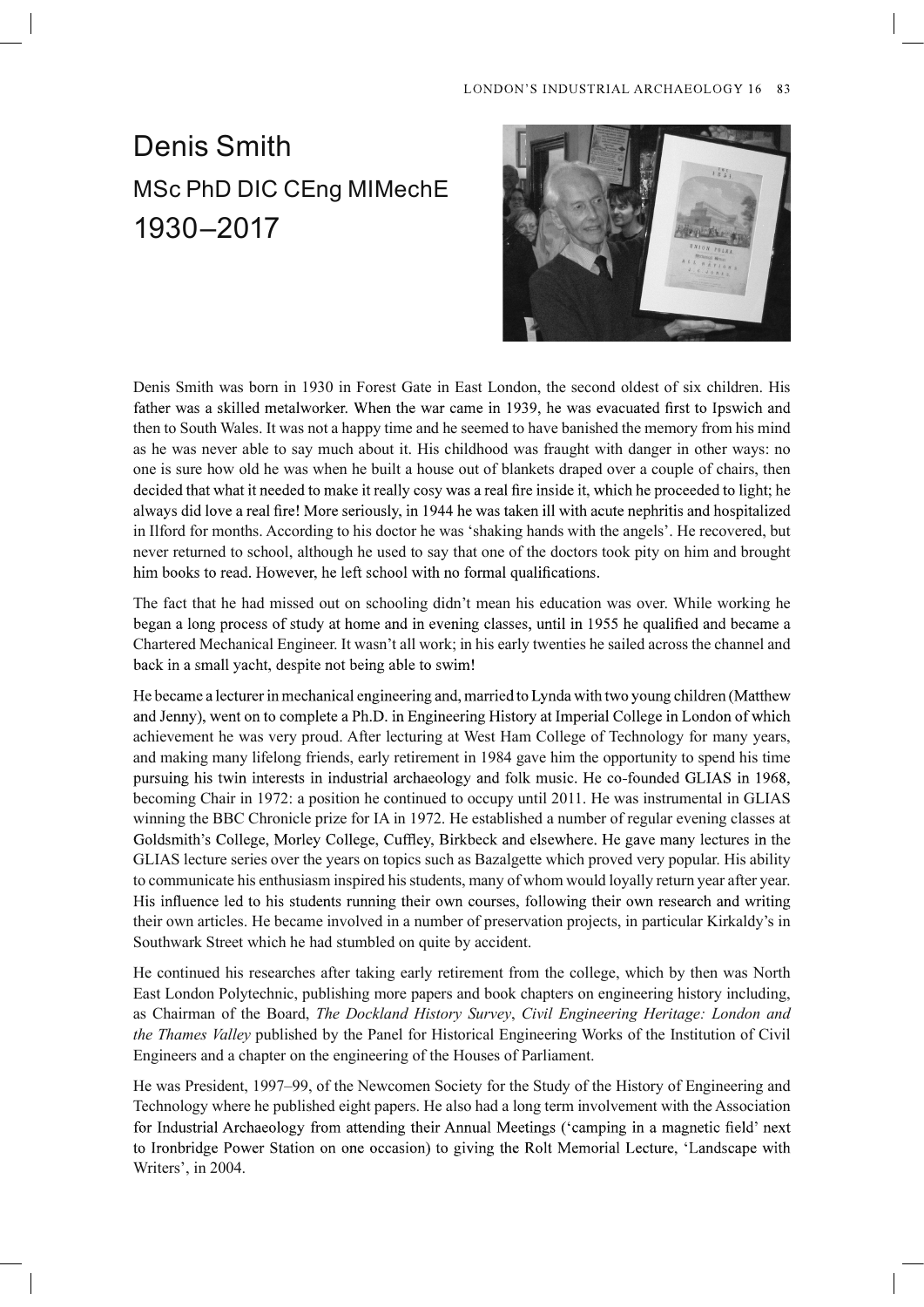## LONDON'S INDUSTRIAL ARCHAEOLOGY 16 83

## Denis Smith MSc PhD DIC CEng MIMechE 1930–2017



Denis Smith was born in 1930 in Forest Gate in East London, the second oldest of six children. His father was a skilled metalworker. When the war came in 1939, he was evacuated first to Ipswich and then to South Wales. It was not a happy time and he seemed to have banished the memory from his mind as he was never able to say much about it. His childhood was fraught with danger in other ways: no one is sure how old he was when he built a house out of blankets draped over a couple of chairs, then decided that what it needed to make it really cosy was a real fire inside it, which he proceeded to light; he always did love a real fire! More seriously, in 1944 he was taken ill with acute nephritis and hospitalized in Ilford for months. According to his doctor he was 'shaking hands with the angels'. He recovered, but never returned to school, although he used to say that one of the doctors took pity on him and brought him books to read. However, he left school with no formal qualifications.

The fact that he had missed out on schooling didn't mean his education was over. While working he began a long process of study at home and in evening classes, until in 1955 he qualified and became a Chartered Mechanical Engineer. It wasn't all work; in his early twenties he sailed across the channel and back in a small yacht, despite not being able to swim!

He became a lecturer in mechanical engineering and, married to Lynda with two young children (Matthew and Jenny), went on to complete a Ph.D. in Engineering History at Imperial College in London of which achievement he was very proud. After lecturing at West Ham College of Technology for many years, and making many lifelong friends, early retirement in 1984 gave him the opportunity to spend his time pursuing his twin interests in industrial archaeology and folk music. He co-founded GLIAS in 1968, becoming Chair in 1972: a position he continued to occupy until 2011. He was instrumental in GLIAS winning the BBC Chronicle prize for IA in 1972. He established a number of regular evening classes at Goldsmith's College, Morley College, Cuffley, Birkbeck and elsewhere. He gave many lectures in the GLIAS lecture series over the years on topics such as Bazalgette which proved very popular. His ability to communicate his enthusiasm inspired his students, many of whom would loyally return year after year. His influence led to his students running their own courses, following their own research and writing their own articles. He became involved in a number of preservation projects, in particular Kirkaldy's in Southwark Street which he had stumbled on quite by accident.

He continued his researches after taking early retirement from the college, which by then was North East London Polytechnic, publishing more papers and book chapters on engineering history including, as Chairman of the Board, The Dockland History Survey, Civil Engineering Heritage: London and the Thames Valley published by the Panel for Historical Engineering Works of the Institution of Civil Engineers and a chapter on the engineering of the Houses of Parliament.

He was President, 1997–99, of the Newcomen Society for the Study of the History of Engineering and Technology where he published eight papers. He also had a long term involvement with the Association for Industrial Archaeology from attending their Annual Meetings ('camping in a magnetic field' next to Ironbridge Power Station on one occasion) to giving the Rolt Memorial Lecture, 'Landscape with Writers', in 2004.